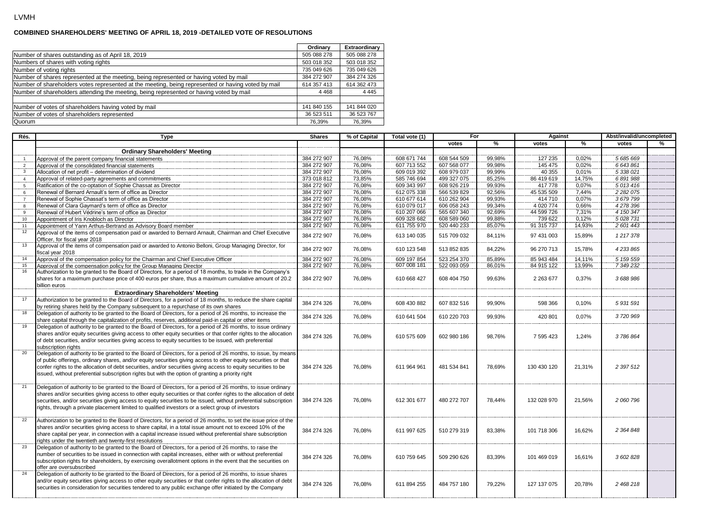## **COMBINED SHAREHOLDERS' MEETING OF APRIL 18, 2019 -DETAILED VOTE OF RESOLUTIONS**

|                                                                                                    | Ordinary    | Extraordinary |
|----------------------------------------------------------------------------------------------------|-------------|---------------|
| Number of shares outstanding as of April 18, 2019                                                  | 505 088 278 | 505 088 278   |
| Numbers of shares with voting rights                                                               | 503 018 352 | 503 018 352   |
| Number of voting rights                                                                            | 735 049 626 | 735 049 626   |
| Number of shares represented at the meeting, being represented or having voted by mail             | 384 272 907 | 384 274 326   |
| Number of shareholders votes represented at the meeting, being represented or having voted by mail | 614 357 413 | 614 362 473   |
| Number of shareholders attending the meeting, being represented or having voted by mail            | 4 4 6 8     | 4 4 4 5       |
| Number of votes of shareholders having voted by mail                                               | 141 840 155 | 141 844 020   |
| Number of votes of shareholders represented                                                        | 36 523 511  | 36 523 767    |
| Quorum                                                                                             | 76.39%      | 76,39%        |

| Rés.                    | Type                                                                                                                                                                                                                           | <b>Shares</b> |        | Total vote (1) | For         |        | Against       |        | Abst/invalid/uncompleted |   |
|-------------------------|--------------------------------------------------------------------------------------------------------------------------------------------------------------------------------------------------------------------------------|---------------|--------|----------------|-------------|--------|---------------|--------|--------------------------|---|
|                         |                                                                                                                                                                                                                                |               |        |                | votes       | %      | votes         | %      | votes                    | % |
|                         | <b>Ordinary Shareholders' Meeting</b>                                                                                                                                                                                          |               |        |                |             |        |               |        |                          |   |
| $\overline{1}$          | Approval of the parent company financial statements                                                                                                                                                                            | 384 272 907   | 76,08% | 608 671 744    | 608 544 509 | 99,98% | 127 235       | 0.02%  | 5 685 669                |   |
| 2                       | Approval of the consolidated financial statements                                                                                                                                                                              | 384 272 907   | 76.08% | 607 713 552    | 607 568 077 | 99.98% | 145 475       | 0.02%  | 6643861                  |   |
| $\overline{\mathbf{3}}$ | Allocation of net profit - determination of dividend                                                                                                                                                                           | 384 272 907   | 76,08% | 609 019 392    | 608 979 037 | 99,99% | 40 355        | 0,01%  | 5 338 021                |   |
| $\overline{4}$          | Approval of related-party agreements and commitments                                                                                                                                                                           | 373 018 812   | 73,85% | 585 746 694    | 499 327 075 | 85,25% | 86 419 619    | 14,75% | 6891988                  |   |
| 5                       | Ratification of the co-optation of Sophie Chassat as Director                                                                                                                                                                  | 384 272 907   | 76,08% | 609 343 997    | 608 926 219 | 99,93% | 417778        | 0,07%  | 5013416                  |   |
| 6                       | Renewal of Bernard Arnault's term of office as Director                                                                                                                                                                        | 384 272 907   | 76,08% | 612 075 338    | 566 539 829 | 92,56% | 45 535 509    | 7,44%  | 2 2 8 2 0 7 5            |   |
| $\overline{7}$          | Renewal of Sophie Chassat's term of office as Director                                                                                                                                                                         | 384 272 907   | 76,08% | 610 677 614    | 610 262 904 | 99,93% | 414 710       | 0,07%  | 3679799                  |   |
| 8                       | Renewal of Clara Gaymard's term of office as Director                                                                                                                                                                          | 384 272 907   | 76,08% | 610 079 017    | 606 058 243 | 99,34% | 4 0 20 7 7 4  | 0.66%  | 4278396                  |   |
| 9                       | Renewal of Hubert Védrine's term of office as Director                                                                                                                                                                         | 384 272 907   | 76,08% | 610 207 066    | 565 607 340 | 92,69% | 44 599 726    | 7,31%  | 4 150 347                |   |
| 10                      | Appointment of Iris Knobloch as Director                                                                                                                                                                                       | 384 272 907   | 76,08% | 609 328 682    | 608 589 060 | 99,88% | 739 622       | 0,12%  | 5 0 28 7 31              |   |
| 11                      | Appointment of Yann Arthus-Bertrand as Advisory Board member                                                                                                                                                                   | 384 272 907   | 76,08% | 611 755 970    | 520 440 233 | 85,07% | 91 315 737    | 14,93% | 2 601 443                |   |
| 12                      | Approval of the items of compensation paid or awarded to Bernard Arnault, Chairman and Chief Executive                                                                                                                         |               |        |                |             |        |               |        |                          |   |
|                         | Officer, for fiscal year 2018                                                                                                                                                                                                  | 384 272 907   | 76,08% | 613 140 035    | 515 709 032 | 84,11% | 97 431 003    | 15,89% | 1217378                  |   |
| 13                      | Approval of the items of compensation paid or awarded to Antonio Belloni, Group Managing Director, for                                                                                                                         |               |        |                |             |        |               |        |                          |   |
|                         | iscal year 2018                                                                                                                                                                                                                | 384 272 907   | 76,08% | 610 123 548    | 513 852 835 | 84,22% | 96 270 713    | 15,78% | 4233865                  |   |
| 14                      | Approval of the compensation policy for the Chairman and Chief Executive Officer                                                                                                                                               | 384 272 907   | 76,08% | 609 197 854    | 523 254 370 | 85,89% | 85 943 484    | 14,11% | 5 159 559                |   |
| 15                      | Approval of the compensation policy for the Group Managing Director.                                                                                                                                                           | 384 272 907   | 76,08% | 607 008 181    | 522 093 059 | 86,01% | 84 915 122    | 13,99% | 7 349 232                |   |
| 16                      | Authorization to be granted to the Board of Directors, for a period of 18 months, to trade in the Company's                                                                                                                    |               |        |                |             |        |               |        |                          |   |
|                         | shares for a maximum purchase price of 400 euros per share, thus a maximum cumulative amount of 20.2                                                                                                                           | 384 272 907   | 76,08% | 610 668 427    | 608 404 750 | 99,63% | 2 2 6 3 6 7 7 | 0,37%  | 3688986                  |   |
|                         | billion euros                                                                                                                                                                                                                  |               |        |                |             |        |               |        |                          |   |
|                         | <b>Extraordinary Shareholders' Meeting</b>                                                                                                                                                                                     |               |        |                |             |        |               |        |                          |   |
| 17                      | Authorization to be granted to the Board of Directors, for a period of 18 months, to reduce the share capital                                                                                                                  |               |        |                |             |        |               |        |                          |   |
|                         | by retiring shares held by the Company subsequent to a repurchase of its own shares                                                                                                                                            | 384 274 326   | 76,08% | 608 430 882    | 607 832 516 | 99,90% | 598 366       | 0,10%  | 5931591                  |   |
| 18                      | Delegation of authority to be granted to the Board of Directors, for a period of 26 months, to increase the                                                                                                                    | 384 274 326   |        |                |             |        |               |        | 3720969                  |   |
|                         | share capital through the capitalization of profits, reserves, additional paid-in capital or other items                                                                                                                       |               | 76,08% | 610 641 504    | 610 220 703 | 99,93% | 420 801       | 0.07%  |                          |   |
| 19                      | Delegation of authority to be granted to the Board of Directors, for a period of 26 months, to issue ordinary                                                                                                                  |               |        |                |             |        |               |        |                          |   |
|                         | shares and/or equity securities giving access to other equity securities or that confer rights to the allocation                                                                                                               | 384 274 326   | 76,08% | 610 575 609    | 602 980 186 | 98,76% | 7 595 423     | 1,24%  | 3786864                  |   |
|                         | of debt securities, and/or securities giving access to equity securities to be issued, with preferential                                                                                                                       |               |        |                |             |        |               |        |                          |   |
|                         | subscription rights                                                                                                                                                                                                            |               |        |                |             |        |               |        |                          |   |
| 20                      | Delegation of authority to be granted to the Board of Directors, for a period of 26 months, to issue, by means                                                                                                                 |               |        |                |             |        |               |        |                          |   |
|                         | of public offerings, ordinary shares, and/or equity securities giving access to other equity securities or that                                                                                                                |               |        |                |             |        |               |        |                          |   |
|                         | confer rights to the allocation of debt securities, and/or securities giving access to equity securities to be                                                                                                                 | 384 274 326   | 76,08% | 611 964 961    | 481 534 841 | 78.69% | 130 430 120   | 21,31% | 2 397 512                |   |
|                         | issued, without preferential subscription rights but with the option of granting a priority right                                                                                                                              |               |        |                |             |        |               |        |                          |   |
|                         |                                                                                                                                                                                                                                |               |        |                |             |        |               |        |                          |   |
| 21                      | Delegation of authority to be granted to the Board of Directors, for a period of 26 months, to issue ordinary                                                                                                                  |               |        |                |             |        |               |        |                          |   |
|                         | shares and/or securities giving access to other equity securities or that confer rights to the allocation of debt                                                                                                              |               |        |                |             |        |               |        |                          |   |
|                         | securities, and/or securities giving access to equity securities to be issued, without preferential subscription                                                                                                               | 384 274 326   | 76,08% | 612 301 677    | 480 272 707 | 78,44% | 132 028 970   | 21,56% | 2 060 796                |   |
|                         | rights, through a private placement limited to qualified investors or a select group of investors                                                                                                                              |               |        |                |             |        |               |        |                          |   |
|                         |                                                                                                                                                                                                                                |               |        |                |             |        |               |        |                          |   |
| 22                      | Authorization to be granted to the Board of Directors, for a period of 26 months, to set the issue price of the                                                                                                                |               |        |                |             |        |               |        |                          |   |
|                         | shares and/or securities giving access to share capital, in a total issue amount not to exceed 10% of the                                                                                                                      | 384 274 326   | 76.08% | 611 997 625    | 510 279 319 | 83.38% | 101 718 306   | 16.62% | 2 364 848                |   |
|                         | share capital per year, in connection with a capital increase issued without preferential share subscription                                                                                                                   |               |        |                |             |        |               |        |                          |   |
|                         | rights under the twentieth and twenty-first resolutions                                                                                                                                                                        |               |        |                |             |        |               |        |                          |   |
| 23                      | Delegation of authority to be granted to the Board of Directors, for a period of 26 months, to raise the                                                                                                                       |               |        |                |             |        |               |        |                          |   |
|                         | number of securities to be issued in connection with capital increases, either with or without preferential                                                                                                                    | 384 274 326   | 76,08% | 610 759 645    | 509 290 626 | 83,39% | 101 469 019   | 16,61% | 3 602 828                |   |
|                         | subscription rights for shareholders, by exercising overallotment options in the event that the securities on                                                                                                                  |               |        |                |             |        |               |        |                          |   |
| 24                      | offer are oversubscribed                                                                                                                                                                                                       |               |        |                |             |        |               |        |                          |   |
|                         | Delegation of authority to be granted to the Board of Directors, for a period of 26 months, to issue shares                                                                                                                    |               |        |                |             |        |               |        |                          |   |
|                         | and/or equity securities giving access to other equity securities or that confer rights to the allocation of debt<br>securities in consideration for securities tendered to any public exchange offer initiated by the Company | 384 274 326   | 76,08% | 611 894 255    | 484 757 180 | 79,22% | 127 137 075   | 20,78% | 2 468 218                |   |
|                         |                                                                                                                                                                                                                                |               |        |                |             |        |               |        |                          |   |
|                         |                                                                                                                                                                                                                                |               |        |                |             |        |               |        |                          |   |